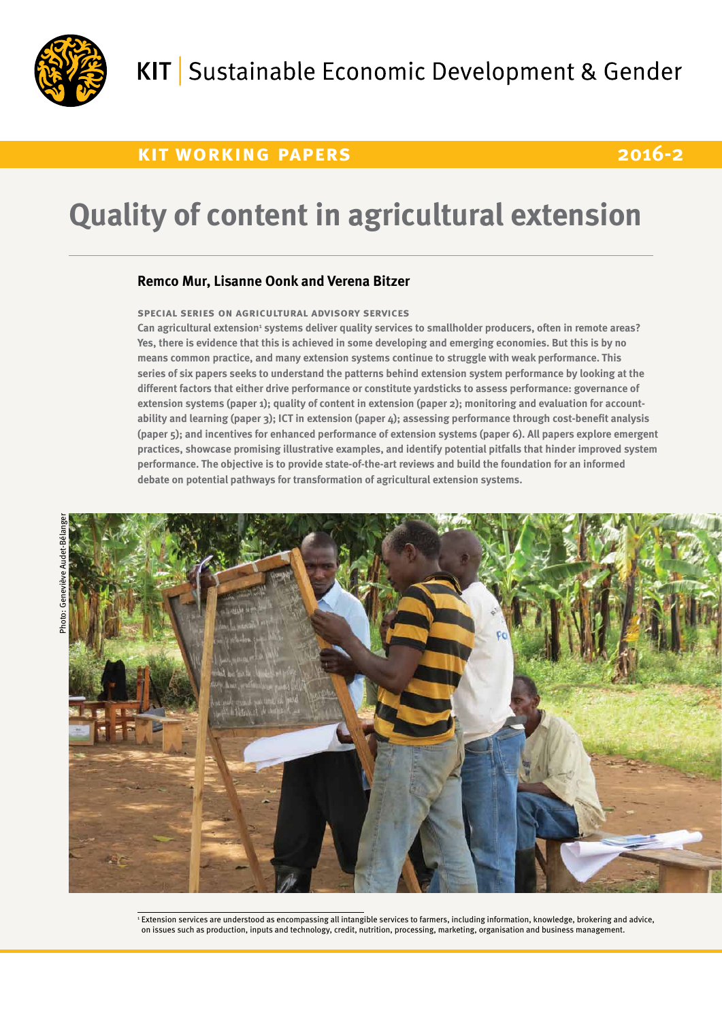

## **kit working papers 2016-2**

# **Quality of content in agricultural extension**

#### **Remco Mur, Lisanne Oonk and Verena Bitzer**

#### **special series on agricultural advisory services**

Can agricultural extension<sup>1</sup> systems deliver quality services to smallholder producers, often in remote areas? **Yes, there is evidence that this is achieved in some developing and emerging economies. But this is by no means common practice, and many extension systems continue to struggle with weak performance. This series of six papers seeks to understand the patterns behind extension system performance by looking at the different factors that either drive performance or constitute yardsticks to assess performance: governance of extension systems (paper 1); quality of content in extension (paper 2); monitoring and evaluation for accountability and learning (paper 3); ICT in extension (paper 4); assessing performance through cost-benefit analysis (paper 5); and incentives for enhanced performance of extension systems (paper 6). All papers explore emergent practices, showcase promising illustrative examples, and identify potential pitfalls that hinder improved system performance. The objective is to provide state-of-the-art reviews and build the foundation for an informed debate on potential pathways for transformation of agricultural extension systems.**



<sup>1</sup> Extension services are understood as encompassing all intangible services to farmers, including information, knowledge, brokering and advice, on issues such as production, inputs and technology, credit, nutrition, processing, marketing, organisation and business management.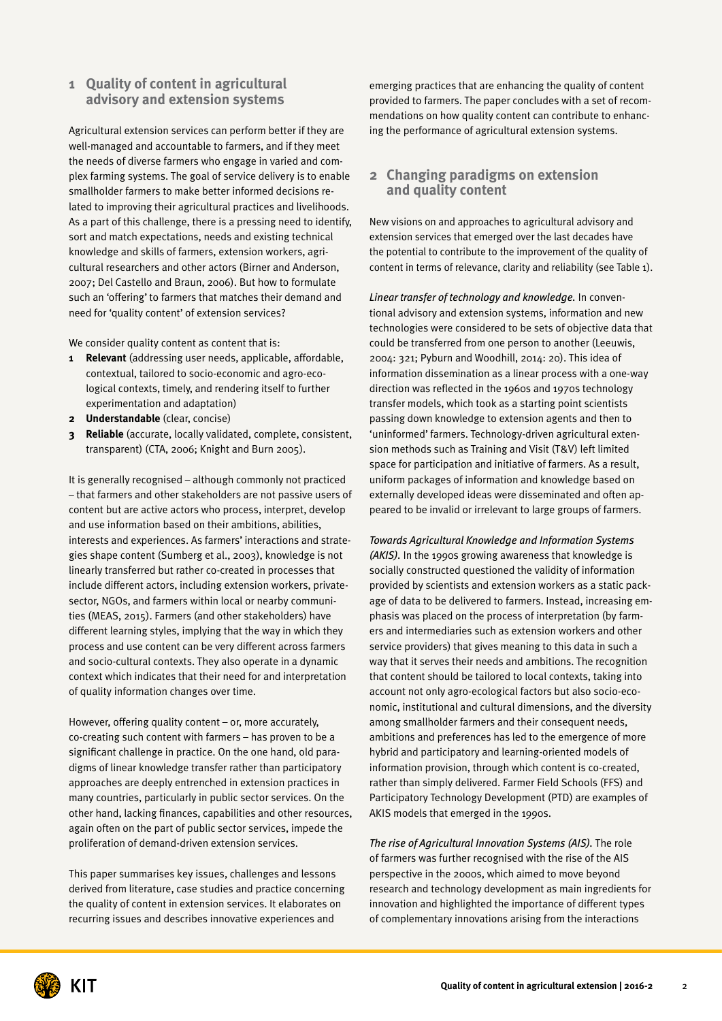#### **1 Quality of content in agricultural advisory and extension systems**

Agricultural extension services can perform better if they are well-managed and accountable to farmers, and if they meet the needs of diverse farmers who engage in varied and complex farming systems. The goal of service delivery is to enable smallholder farmers to make better informed decisions related to improving their agricultural practices and livelihoods. As a part of this challenge, there is a pressing need to identify, sort and match expectations, needs and existing technical knowledge and skills of farmers, extension workers, agricultural researchers and other actors (Birner and Anderson, 2007; Del Castello and Braun, 2006). But how to formulate such an 'offering' to farmers that matches their demand and need for 'quality content' of extension services?

We consider quality content as content that is:

- **1 Relevant** (addressing user needs, applicable, affordable, contextual, tailored to socio-economic and agro-ecological contexts, timely, and rendering itself to further experimentation and adaptation)
- **2 Understandable** (clear, concise)
- **3 Reliable** (accurate, locally validated, complete, consistent, transparent) (CTA, 2006; Knight and Burn 2005).

It is generally recognised – although commonly not practiced – that farmers and other stakeholders are not passive users of content but are active actors who process, interpret, develop and use information based on their ambitions, abilities, interests and experiences. As farmers' interactions and strategies shape content (Sumberg et al., 2003), knowledge is not linearly transferred but rather co-created in processes that include different actors, including extension workers, privatesector, NGOs, and farmers within local or nearby communities (MEAS, 2015). Farmers (and other stakeholders) have different learning styles, implying that the way in which they process and use content can be very different across farmers and socio-cultural contexts. They also operate in a dynamic context which indicates that their need for and interpretation of quality information changes over time.

However, offering quality content – or, more accurately, co-creating such content with farmers – has proven to be a significant challenge in practice. On the one hand, old paradigms of linear knowledge transfer rather than participatory approaches are deeply entrenched in extension practices in many countries, particularly in public sector services. On the other hand, lacking finances, capabilities and other resources, again often on the part of public sector services, impede the proliferation of demand-driven extension services.

This paper summarises key issues, challenges and lessons derived from literature, case studies and practice concerning the quality of content in extension services. It elaborates on recurring issues and describes innovative experiences and

emerging practices that are enhancing the quality of content provided to farmers. The paper concludes with a set of recommendations on how quality content can contribute to enhancing the performance of agricultural extension systems.

#### **2 Changing paradigms on extension and quality content**

New visions on and approaches to agricultural advisory and extension services that emerged over the last decades have the potential to contribute to the improvement of the quality of content in terms of relevance, clarity and reliability (see Table 1).

*Linear transfer of technology and knowledge.* In conventional advisory and extension systems, information and new technologies were considered to be sets of objective data that could be transferred from one person to another (Leeuwis, 2004: 321; Pyburn and Woodhill, 2014: 20). This idea of information dissemination as a linear process with a one-way direction was reflected in the 1960s and 1970s technology transfer models, which took as a starting point scientists passing down knowledge to extension agents and then to 'uninformed' farmers. Technology-driven agricultural extension methods such as Training and Visit (T&V) left limited space for participation and initiative of farmers. As a result, uniform packages of information and knowledge based on externally developed ideas were disseminated and often appeared to be invalid or irrelevant to large groups of farmers.

*Towards Agricultural Knowledge and Information Systems (AKIS).* In the 1990s growing awareness that knowledge is socially constructed questioned the validity of information provided by scientists and extension workers as a static package of data to be delivered to farmers. Instead, increasing emphasis was placed on the process of interpretation (by farmers and intermediaries such as extension workers and other service providers) that gives meaning to this data in such a way that it serves their needs and ambitions. The recognition that content should be tailored to local contexts, taking into account not only agro-ecological factors but also socio-economic, institutional and cultural dimensions, and the diversity among smallholder farmers and their consequent needs, ambitions and preferences has led to the emergence of more hybrid and participatory and learning-oriented models of information provision, through which content is co-created, rather than simply delivered. Farmer Field Schools (FFS) and Participatory Technology Development (PTD) are examples of AKIS models that emerged in the 1990s.

*The rise of Agricultural Innovation Systems (AIS).* The role of farmers was further recognised with the rise of the AIS perspective in the 2000s, which aimed to move beyond research and technology development as main ingredients for innovation and highlighted the importance of different types of complementary innovations arising from the interactions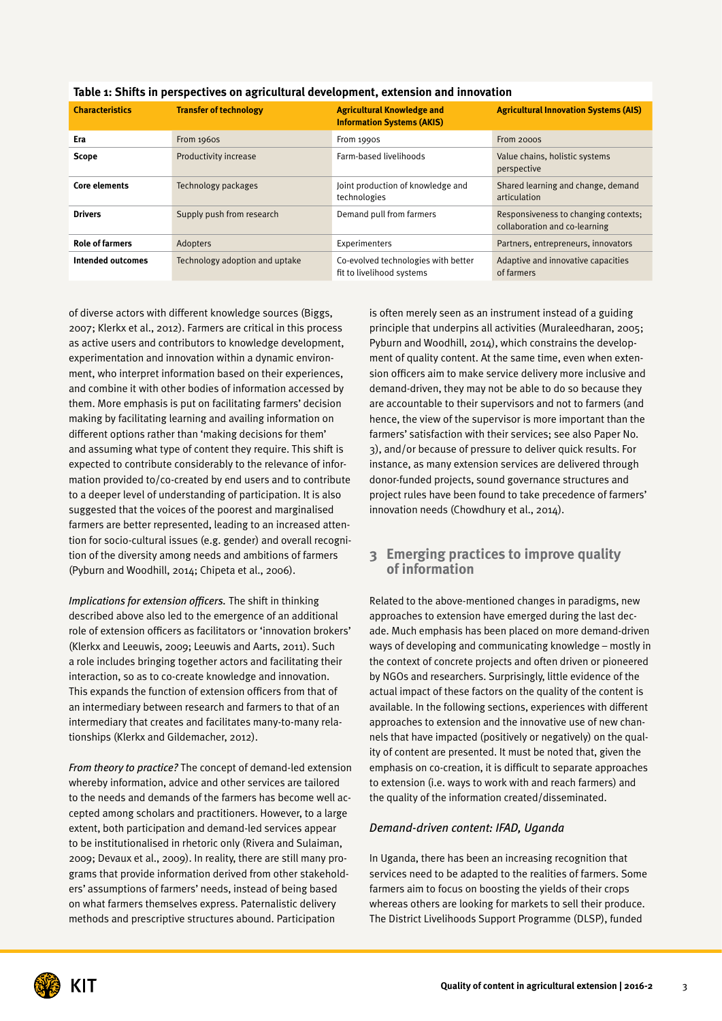| <b>Characteristics</b>   | <b>Transfer of technology</b>  | <b>Agricultural Knowledge and</b><br><b>Information Systems (AKIS)</b> | <b>Agricultural Innovation Systems (AIS)</b>                          |
|--------------------------|--------------------------------|------------------------------------------------------------------------|-----------------------------------------------------------------------|
|                          |                                |                                                                        |                                                                       |
| Era                      | From 1960S                     | From 1990S                                                             | From 2000S                                                            |
| <b>Scope</b>             | Productivity increase          | Farm-based livelihoods                                                 | Value chains, holistic systems<br>perspective                         |
| <b>Core elements</b>     | Technology packages            | Joint production of knowledge and<br>technologies                      | Shared learning and change, demand<br>articulation                    |
| <b>Drivers</b>           | Supply push from research      | Demand pull from farmers                                               | Responsiveness to changing contexts;<br>collaboration and co-learning |
| <b>Role of farmers</b>   | Adopters                       | Experimenters                                                          | Partners, entrepreneurs, innovators                                   |
| <b>Intended outcomes</b> | Technology adoption and uptake | Co-evolved technologies with better<br>fit to livelihood systems       | Adaptive and innovative capacities<br>of farmers                      |

#### **Table 1: Shifts in perspectives on agricultural development, extension and innovation**

of diverse actors with different knowledge sources (Biggs, 2007; Klerkx et al., 2012). Farmers are critical in this process as active users and contributors to knowledge development, experimentation and innovation within a dynamic environment, who interpret information based on their experiences, and combine it with other bodies of information accessed by them. More emphasis is put on facilitating farmers' decision making by facilitating learning and availing information on different options rather than 'making decisions for them' and assuming what type of content they require. This shift is expected to contribute considerably to the relevance of information provided to/co-created by end users and to contribute to a deeper level of understanding of participation. It is also suggested that the voices of the poorest and marginalised farmers are better represented, leading to an increased attention for socio-cultural issues (e.g. gender) and overall recognition of the diversity among needs and ambitions of farmers (Pyburn and Woodhill, 2014; Chipeta et al., 2006).

*Implications for extension officers.* The shift in thinking described above also led to the emergence of an additional role of extension officers as facilitators or 'innovation brokers' (Klerkx and Leeuwis, 2009; Leeuwis and Aarts, 2011). Such a role includes bringing together actors and facilitating their interaction, so as to co-create knowledge and innovation. This expands the function of extension officers from that of an intermediary between research and farmers to that of an intermediary that creates and facilitates many-to-many relationships (Klerkx and Gildemacher, 2012).

*From theory to practice?* The concept of demand-led extension whereby information, advice and other services are tailored to the needs and demands of the farmers has become well accepted among scholars and practitioners. However, to a large extent, both participation and demand-led services appear to be institutionalised in rhetoric only (Rivera and Sulaiman, 2009; Devaux et al., 2009). In reality, there are still many programs that provide information derived from other stakeholders' assumptions of farmers' needs, instead of being based on what farmers themselves express. Paternalistic delivery methods and prescriptive structures abound. Participation

is often merely seen as an instrument instead of a guiding principle that underpins all activities (Muraleedharan, 2005; Pyburn and Woodhill, 2014), which constrains the development of quality content. At the same time, even when extension officers aim to make service delivery more inclusive and demand-driven, they may not be able to do so because they are accountable to their supervisors and not to farmers (and hence, the view of the supervisor is more important than the farmers' satisfaction with their services; see also Paper No. 3), and/or because of pressure to deliver quick results. For instance, as many extension services are delivered through donor-funded projects, sound governance structures and project rules have been found to take precedence of farmers' innovation needs (Chowdhury et al., 2014).

#### **3 Emerging practices to improve quality of information**

Related to the above-mentioned changes in paradigms, new approaches to extension have emerged during the last decade. Much emphasis has been placed on more demand-driven ways of developing and communicating knowledge – mostly in the context of concrete projects and often driven or pioneered by NGOs and researchers. Surprisingly, little evidence of the actual impact of these factors on the quality of the content is available. In the following sections, experiences with different approaches to extension and the innovative use of new channels that have impacted (positively or negatively) on the quality of content are presented. It must be noted that, given the emphasis on co-creation, it is difficult to separate approaches to extension (i.e. ways to work with and reach farmers) and the quality of the information created/disseminated.

#### *Demand-driven content: IFAD, Uganda*

In Uganda, there has been an increasing recognition that services need to be adapted to the realities of farmers. Some farmers aim to focus on boosting the yields of their crops whereas others are looking for markets to sell their produce. The District Livelihoods Support Programme (DLSP), funded

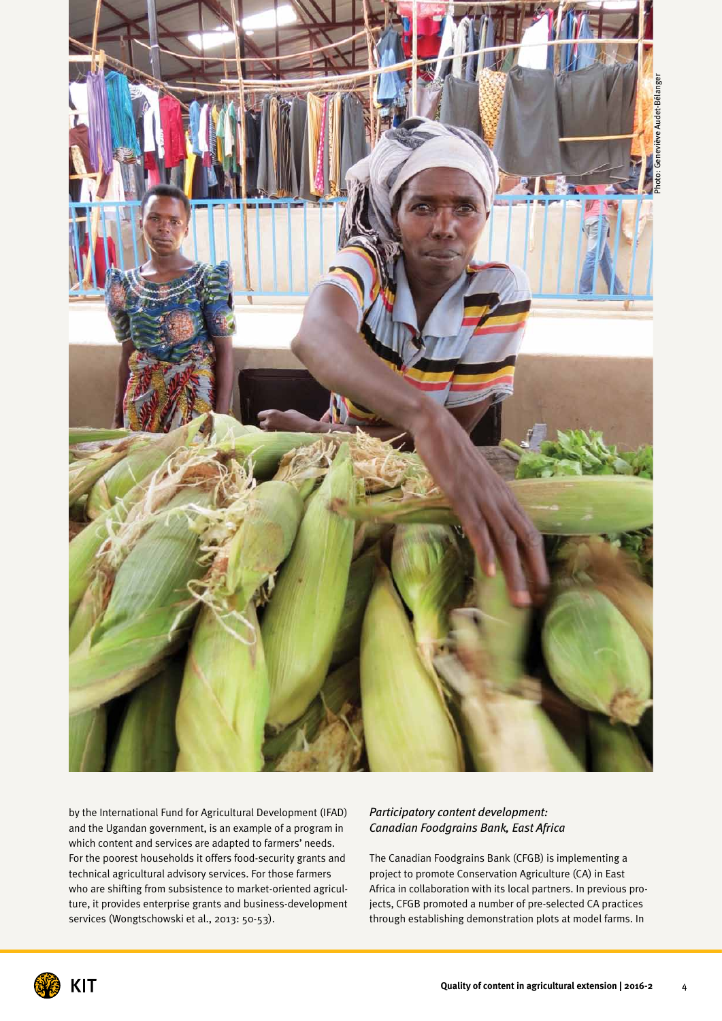

by the International Fund for Agricultural Development (IFAD) and the Ugandan government, is an example of a program in which content and services are adapted to farmers' needs. For the poorest households it offers food-security grants and technical agricultural advisory services. For those farmers who are shifting from subsistence to market-oriented agriculture, it provides enterprise grants and business-development services (Wongtschowski et al., 2013: 50-53).

#### *Participatory content development: Canadian Foodgrains Bank, East Africa*

The Canadian Foodgrains Bank (CFGB) is implementing a project to promote Conservation Agriculture (CA) in East Africa in collaboration with its local partners. In previous projects, CFGB promoted a number of pre-selected CA practices through establishing demonstration plots at model farms. In

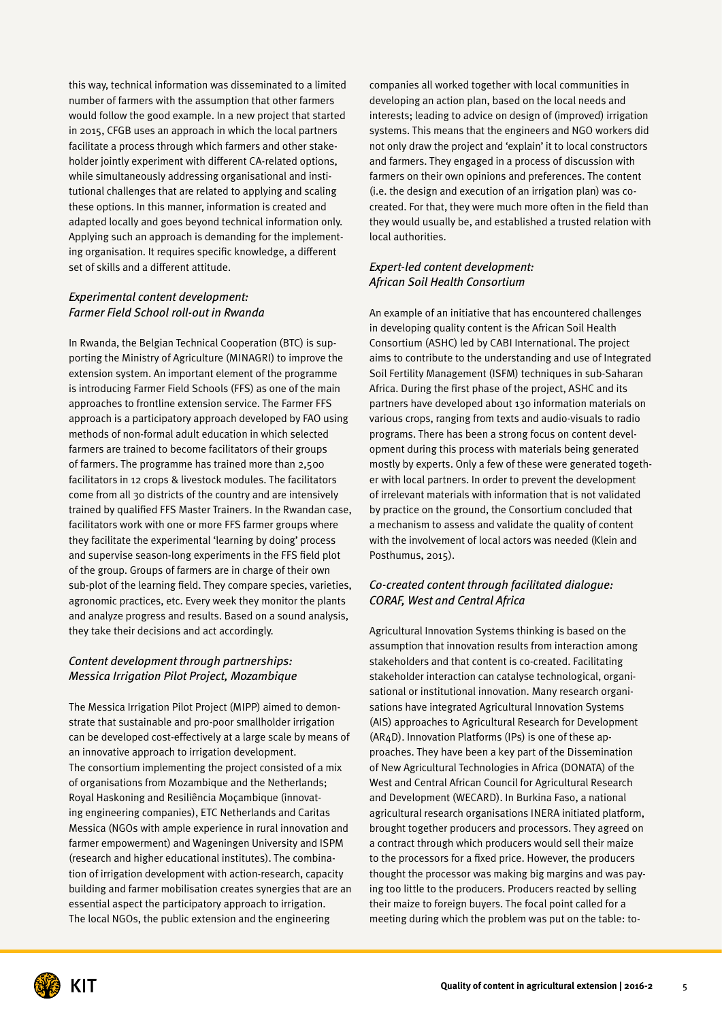this way, technical information was disseminated to a limited number of farmers with the assumption that other farmers would follow the good example. In a new project that started in 2015, CFGB uses an approach in which the local partners facilitate a process through which farmers and other stakeholder jointly experiment with different CA-related options, while simultaneously addressing organisational and institutional challenges that are related to applying and scaling these options. In this manner, information is created and adapted locally and goes beyond technical information only. Applying such an approach is demanding for the implementing organisation. It requires specific knowledge, a different set of skills and a different attitude.

#### *Experimental content development: Farmer Field School roll-out in Rwanda*

In Rwanda, the Belgian Technical Cooperation (BTC) is supporting the Ministry of Agriculture (MINAGRI) to improve the extension system. An important element of the programme is introducing Farmer Field Schools (FFS) as one of the main approaches to frontline extension service. The Farmer FFS approach is a participatory approach developed by FAO using methods of non-formal adult education in which selected farmers are trained to become facilitators of their groups of farmers. The programme has trained more than 2,500 facilitators in 12 crops & livestock modules. The facilitators come from all 30 districts of the country and are intensively trained by qualified FFS Master Trainers. In the Rwandan case, facilitators work with one or more FFS farmer groups where they facilitate the experimental 'learning by doing' process and supervise season-long experiments in the FFS field plot of the group. Groups of farmers are in charge of their own sub-plot of the learning field. They compare species, varieties, agronomic practices, etc. Every week they monitor the plants and analyze progress and results. Based on a sound analysis, they take their decisions and act accordingly.

#### *Content development through partnerships: Messica Irrigation Pilot Project, Mozambique*

The Messica Irrigation Pilot Project (MIPP) aimed to demonstrate that sustainable and pro-poor smallholder irrigation can be developed cost-effectively at a large scale by means of an innovative approach to irrigation development. The consortium implementing the project consisted of a mix of organisations from Mozambique and the Netherlands; Royal Haskoning and Resiliência Moçambique (innovating engineering companies), ETC Netherlands and Caritas Messica (NGOs with ample experience in rural innovation and farmer empowerment) and Wageningen University and ISPM (research and higher educational institutes). The combination of irrigation development with action-research, capacity building and farmer mobilisation creates synergies that are an essential aspect the participatory approach to irrigation. The local NGOs, the public extension and the engineering

companies all worked together with local communities in developing an action plan, based on the local needs and interests; leading to advice on design of (improved) irrigation systems. This means that the engineers and NGO workers did not only draw the project and 'explain' it to local constructors and farmers. They engaged in a process of discussion with farmers on their own opinions and preferences. The content (i.e. the design and execution of an irrigation plan) was cocreated. For that, they were much more often in the field than they would usually be, and established a trusted relation with local authorities.

#### *Expert-led content development: African Soil Health Consortium*

An example of an initiative that has encountered challenges in developing quality content is the African Soil Health Consortium (ASHC) led by CABI International. The project aims to contribute to the understanding and use of Integrated Soil Fertility Management (ISFM) techniques in sub-Saharan Africa. During the first phase of the project, ASHC and its partners have developed about 130 information materials on various crops, ranging from texts and audio-visuals to radio programs. There has been a strong focus on content development during this process with materials being generated mostly by experts. Only a few of these were generated together with local partners. In order to prevent the development of irrelevant materials with information that is not validated by practice on the ground, the Consortium concluded that a mechanism to assess and validate the quality of content with the involvement of local actors was needed (Klein and Posthumus, 2015).

#### *Co-created content through facilitated dialogue: CORAF, West and Central Africa*

Agricultural Innovation Systems thinking is based on the assumption that innovation results from interaction among stakeholders and that content is co-created. Facilitating stakeholder interaction can catalyse technological, organisational or institutional innovation. Many research organisations have integrated Agricultural Innovation Systems (AIS) approaches to Agricultural Research for Development (AR4D). Innovation Platforms (IPs) is one of these approaches. They have been a key part of the Dissemination of New Agricultural Technologies in Africa (DONATA) of the West and Central African Council for Agricultural Research and Development (WECARD). In Burkina Faso, a national agricultural research organisations INERA initiated platform, brought together producers and processors. They agreed on a contract through which producers would sell their maize to the processors for a fixed price. However, the producers thought the processor was making big margins and was paying too little to the producers. Producers reacted by selling their maize to foreign buyers. The focal point called for a meeting during which the problem was put on the table: to-

KIT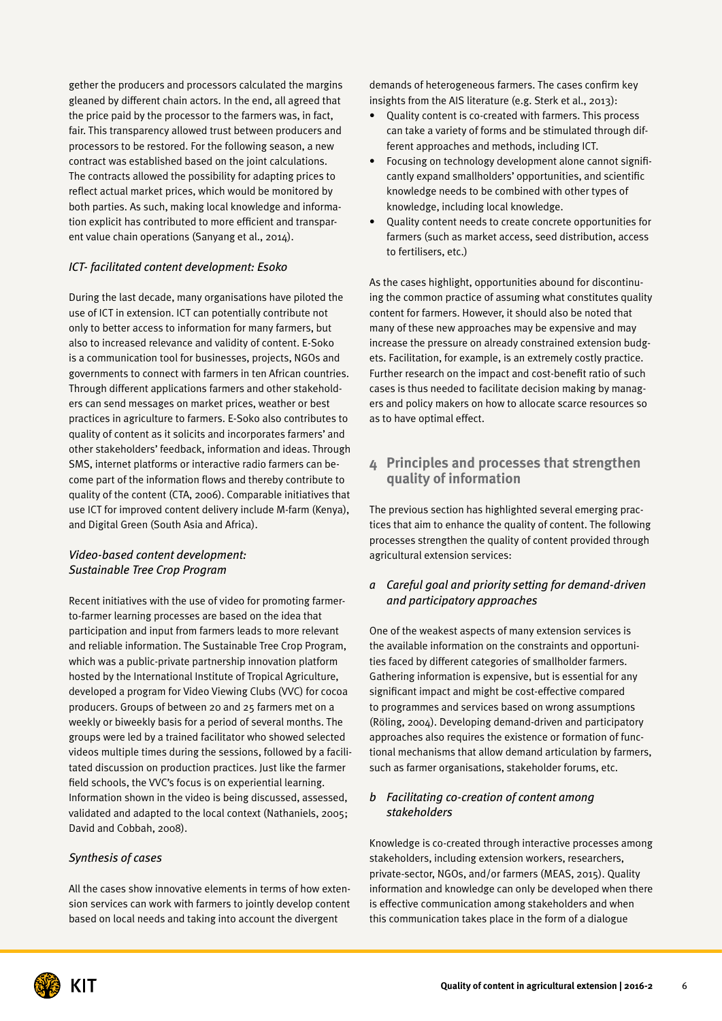gether the producers and processors calculated the margins gleaned by different chain actors. In the end, all agreed that the price paid by the processor to the farmers was, in fact, fair. This transparency allowed trust between producers and processors to be restored. For the following season, a new contract was established based on the joint calculations. The contracts allowed the possibility for adapting prices to reflect actual market prices, which would be monitored by both parties. As such, making local knowledge and information explicit has contributed to more efficient and transparent value chain operations (Sanyang et al., 2014).

#### *ICT- facilitated content development: Esoko*

During the last decade, many organisations have piloted the use of ICT in extension. ICT can potentially contribute not only to better access to information for many farmers, but also to increased relevance and validity of content. E-Soko is a communication tool for businesses, projects, NGOs and governments to connect with farmers in ten African countries. Through different applications farmers and other stakeholders can send messages on market prices, weather or best practices in agriculture to farmers. E-Soko also contributes to quality of content as it solicits and incorporates farmers' and other stakeholders' feedback, information and ideas. Through SMS, internet platforms or interactive radio farmers can become part of the information flows and thereby contribute to quality of the content (CTA, 2006). Comparable initiatives that use ICT for improved content delivery include M-farm (Kenya), and Digital Green (South Asia and Africa).

#### *Video-based content development: Sustainable Tree Crop Program*

Recent initiatives with the use of video for promoting farmerto-farmer learning processes are based on the idea that participation and input from farmers leads to more relevant and reliable information. The Sustainable Tree Crop Program, which was a public-private partnership innovation platform hosted by the International Institute of Tropical Agriculture, developed a program for Video Viewing Clubs (VVC) for cocoa producers. Groups of between 20 and 25 farmers met on a weekly or biweekly basis for a period of several months. The groups were led by a trained facilitator who showed selected videos multiple times during the sessions, followed by a facilitated discussion on production practices. Just like the farmer field schools, the VVC's focus is on experiential learning. Information shown in the video is being discussed, assessed, validated and adapted to the local context (Nathaniels, 2005; David and Cobbah, 2008).

#### *Synthesis of cases*

All the cases show innovative elements in terms of how extension services can work with farmers to jointly develop content based on local needs and taking into account the divergent

demands of heterogeneous farmers. The cases confirm key insights from the AIS literature (e.g. Sterk et al., 2013):

- Quality content is co-created with farmers. This process can take a variety of forms and be stimulated through different approaches and methods, including ICT.
- Focusing on technology development alone cannot significantly expand smallholders' opportunities, and scientific knowledge needs to be combined with other types of knowledge, including local knowledge.
- Quality content needs to create concrete opportunities for farmers (such as market access, seed distribution, access to fertilisers, etc.)

As the cases highlight, opportunities abound for discontinuing the common practice of assuming what constitutes quality content for farmers. However, it should also be noted that many of these new approaches may be expensive and may increase the pressure on already constrained extension budgets. Facilitation, for example, is an extremely costly practice. Further research on the impact and cost-benefit ratio of such cases is thus needed to facilitate decision making by managers and policy makers on how to allocate scarce resources so as to have optimal effect.

#### **4 Principles and processes that strengthen quality of information**

The previous section has highlighted several emerging practices that aim to enhance the quality of content. The following processes strengthen the quality of content provided through agricultural extension services:

#### *a Careful goal and priority setting for demand-driven and participatory approaches*

One of the weakest aspects of many extension services is the available information on the constraints and opportunities faced by different categories of smallholder farmers. Gathering information is expensive, but is essential for any significant impact and might be cost-effective compared to programmes and services based on wrong assumptions (Röling, 2004). Developing demand-driven and participatory approaches also requires the existence or formation of functional mechanisms that allow demand articulation by farmers, such as farmer organisations, stakeholder forums, etc.

#### *b Facilitating co-creation of content among stakeholders*

Knowledge is co-created through interactive processes among stakeholders, including extension workers, researchers, private-sector, NGOs, and/or farmers (MEAS, 2015). Quality information and knowledge can only be developed when there is effective communication among stakeholders and when this communication takes place in the form of a dialogue

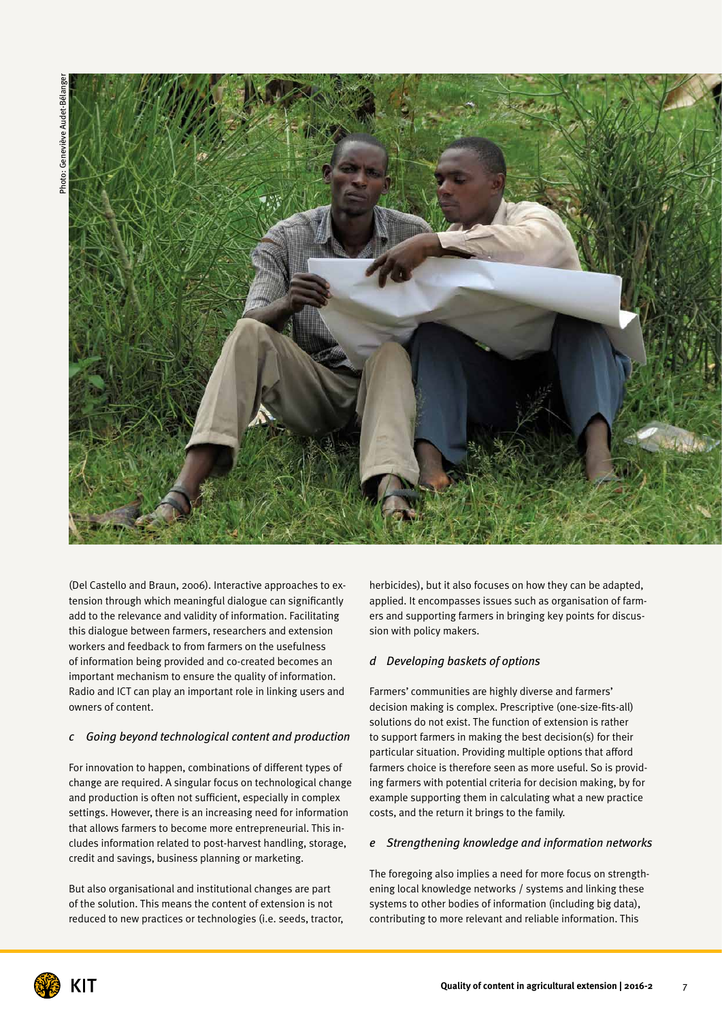

(Del Castello and Braun, 2006). Interactive approaches to extension through which meaningful dialogue can significantly add to the relevance and validity of information. Facilitating this dialogue between farmers, researchers and extension workers and feedback to from farmers on the usefulness of information being provided and co-created becomes an important mechanism to ensure the quality of information. Radio and ICT can play an important role in linking users and owners of content.

#### *c Going beyond technological content and production*

For innovation to happen, combinations of different types of change are required. A singular focus on technological change and production is often not sufficient, especially in complex settings. However, there is an increasing need for information that allows farmers to become more entrepreneurial. This includes information related to post-harvest handling, storage, credit and savings, business planning or marketing.

But also organisational and institutional changes are part of the solution. This means the content of extension is not reduced to new practices or technologies (i.e. seeds, tractor,

herbicides), but it also focuses on how they can be adapted, applied. It encompasses issues such as organisation of farmers and supporting farmers in bringing key points for discussion with policy makers.

#### *d Developing baskets of options*

Farmers' communities are highly diverse and farmers' decision making is complex. Prescriptive (one-size-fits-all) solutions do not exist. The function of extension is rather to support farmers in making the best decision(s) for their particular situation. Providing multiple options that afford farmers choice is therefore seen as more useful. So is providing farmers with potential criteria for decision making, by for example supporting them in calculating what a new practice costs, and the return it brings to the family.

#### *e Strengthening knowledge and information networks*

The foregoing also implies a need for more focus on strengthening local knowledge networks / systems and linking these systems to other bodies of information (including big data), contributing to more relevant and reliable information. This

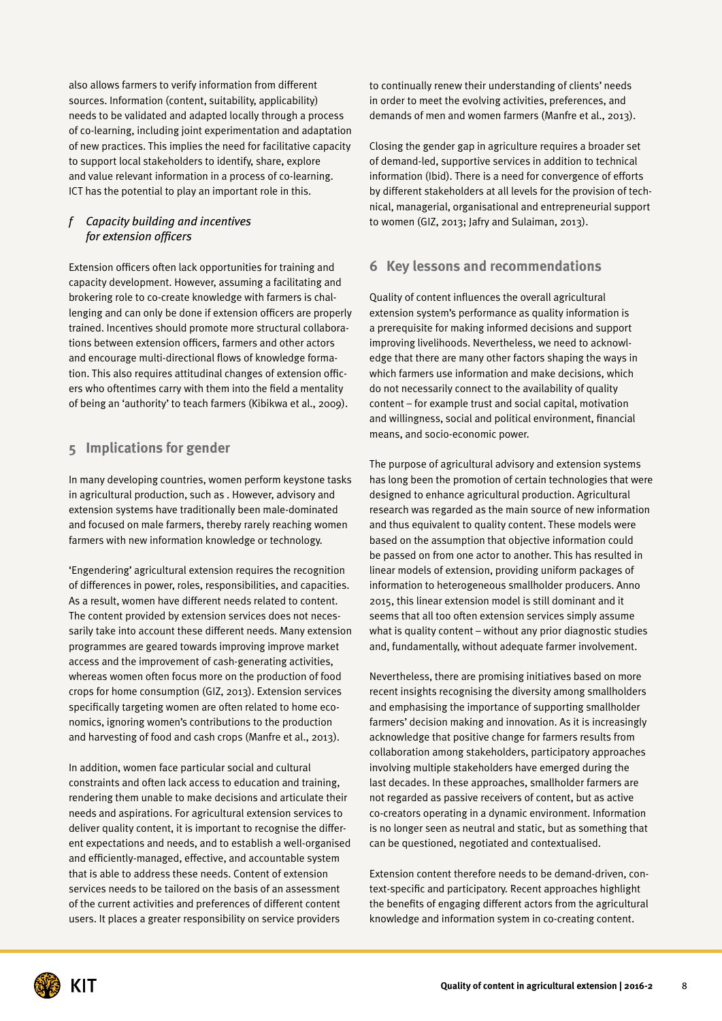also allows farmers to verify information from different sources. Information (content, suitability, applicability) needs to be validated and adapted locally through a process of co-learning, including joint experimentation and adaptation of new practices. This implies the need for facilitative capacity to support local stakeholders to identify, share, explore and value relevant information in a process of co-learning. ICT has the potential to play an important role in this.

#### *f Capacity building and incentives for extension officers*

Extension officers often lack opportunities for training and capacity development. However, assuming a facilitating and brokering role to co-create knowledge with farmers is challenging and can only be done if extension officers are properly trained. Incentives should promote more structural collaborations between extension officers, farmers and other actors and encourage multi-directional flows of knowledge formation. This also requires attitudinal changes of extension officers who oftentimes carry with them into the field a mentality of being an 'authority' to teach farmers (Kibikwa et al., 2009).

### **5 Implications for gender**

In many developing countries, women perform keystone tasks in agricultural production, such as . However, advisory and extension systems have traditionally been male-dominated and focused on male farmers, thereby rarely reaching women farmers with new information knowledge or technology.

'Engendering' agricultural extension requires the recognition of differences in power, roles, responsibilities, and capacities. As a result, women have different needs related to content. The content provided by extension services does not necessarily take into account these different needs. Many extension programmes are geared towards improving improve market access and the improvement of cash-generating activities, whereas women often focus more on the production of food crops for home consumption (GIZ, 2013). Extension services specifically targeting women are often related to home economics, ignoring women's contributions to the production and harvesting of food and cash crops (Manfre et al., 2013).

In addition, women face particular social and cultural constraints and often lack access to education and training, rendering them unable to make decisions and articulate their needs and aspirations. For agricultural extension services to deliver quality content, it is important to recognise the different expectations and needs, and to establish a well-organised and efficiently-managed, effective, and accountable system that is able to address these needs. Content of extension services needs to be tailored on the basis of an assessment of the current activities and preferences of different content users. It places a greater responsibility on service providers

to continually renew their understanding of clients' needs in order to meet the evolving activities, preferences, and demands of men and women farmers (Manfre et al., 2013).

Closing the gender gap in agriculture requires a broader set of demand-led, supportive services in addition to technical information (Ibid). There is a need for convergence of efforts by different stakeholders at all levels for the provision of technical, managerial, organisational and entrepreneurial support to women (GIZ, 2013; Jafry and Sulaiman, 2013).

#### **6 Key lessons and recommendations**

Quality of content influences the overall agricultural extension system's performance as quality information is a prerequisite for making informed decisions and support improving livelihoods. Nevertheless, we need to acknowledge that there are many other factors shaping the ways in which farmers use information and make decisions, which do not necessarily connect to the availability of quality content – for example trust and social capital, motivation and willingness, social and political environment, financial means, and socio-economic power.

The purpose of agricultural advisory and extension systems has long been the promotion of certain technologies that were designed to enhance agricultural production. Agricultural research was regarded as the main source of new information and thus equivalent to quality content. These models were based on the assumption that objective information could be passed on from one actor to another. This has resulted in linear models of extension, providing uniform packages of information to heterogeneous smallholder producers. Anno 2015, this linear extension model is still dominant and it seems that all too often extension services simply assume what is quality content – without any prior diagnostic studies and, fundamentally, without adequate farmer involvement.

Nevertheless, there are promising initiatives based on more recent insights recognising the diversity among smallholders and emphasising the importance of supporting smallholder farmers' decision making and innovation. As it is increasingly acknowledge that positive change for farmers results from collaboration among stakeholders, participatory approaches involving multiple stakeholders have emerged during the last decades. In these approaches, smallholder farmers are not regarded as passive receivers of content, but as active co-creators operating in a dynamic environment. Information is no longer seen as neutral and static, but as something that can be questioned, negotiated and contextualised.

Extension content therefore needs to be demand-driven, context-specific and participatory. Recent approaches highlight the benefits of engaging different actors from the agricultural knowledge and information system in co-creating content.

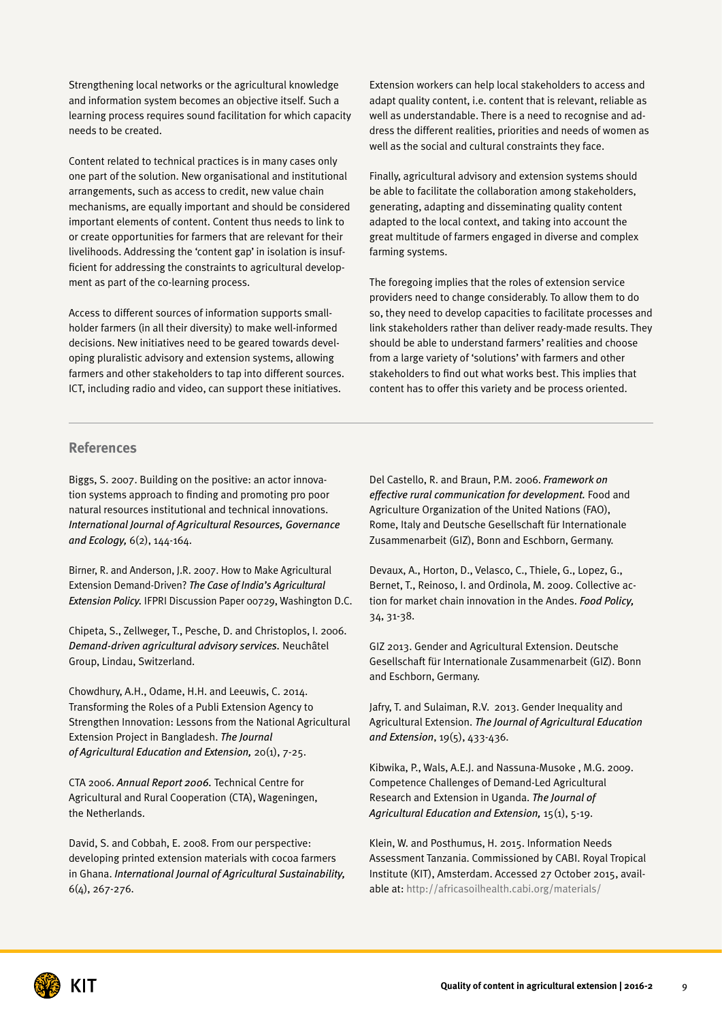Strengthening local networks or the agricultural knowledge and information system becomes an objective itself. Such a learning process requires sound facilitation for which capacity needs to be created.

Content related to technical practices is in many cases only one part of the solution. New organisational and institutional arrangements, such as access to credit, new value chain mechanisms, are equally important and should be considered important elements of content. Content thus needs to link to or create opportunities for farmers that are relevant for their livelihoods. Addressing the 'content gap' in isolation is insufficient for addressing the constraints to agricultural development as part of the co-learning process.

Access to different sources of information supports smallholder farmers (in all their diversity) to make well-informed decisions. New initiatives need to be geared towards developing pluralistic advisory and extension systems, allowing farmers and other stakeholders to tap into different sources. ICT, including radio and video, can support these initiatives.

Extension workers can help local stakeholders to access and adapt quality content, i.e. content that is relevant, reliable as well as understandable. There is a need to recognise and address the different realities, priorities and needs of women as well as the social and cultural constraints they face.

Finally, agricultural advisory and extension systems should be able to facilitate the collaboration among stakeholders, generating, adapting and disseminating quality content adapted to the local context, and taking into account the great multitude of farmers engaged in diverse and complex farming systems.

The foregoing implies that the roles of extension service providers need to change considerably. To allow them to do so, they need to develop capacities to facilitate processes and link stakeholders rather than deliver ready-made results. They should be able to understand farmers' realities and choose from a large variety of 'solutions' with farmers and other stakeholders to find out what works best. This implies that content has to offer this variety and be process oriented.

#### **References**

Biggs, S. 2007. Building on the positive: an actor innovation systems approach to finding and promoting pro poor natural resources institutional and technical innovations. *International Journal of Agricultural Resources, Governance and Ecology,* 6(2), 144-164.

Birner, R. and Anderson, J.R. 2007. How to Make Agricultural Extension Demand-Driven? *The Case of India's Agricultural Extension Policy.* IFPRI Discussion Paper 00729, Washington D.C.

Chipeta, S., Zellweger, T., Pesche, D. and Christoplos, I. 2006. *Demand-driven agricultural advisory services.* Neuchâtel Group, Lindau, Switzerland.

Chowdhury, A.H., Odame, H.H. and Leeuwis, C. 2014. Transforming the Roles of a Publi Extension Agency to Strengthen Innovation: Lessons from the National Agricultural Extension Project in Bangladesh. *The Journal of Agricultural Education and Extension,* 20(1), 7-25.

CTA 2006. *Annual Report 2006.* Technical Centre for Agricultural and Rural Cooperation (CTA), Wageningen, the Netherlands.

David, S. and Cobbah, E. 2008. From our perspective: developing printed extension materials with cocoa farmers in Ghana. *International Journal of Agricultural Sustainability,* 6(4), 267-276.

Del Castello, R. and Braun, P.M. 2006. *Framework on effective rural communication for development.* Food and Agriculture Organization of the United Nations (FAO), Rome, Italy and Deutsche Gesellschaft für Internationale Zusammenarbeit (GIZ), Bonn and Eschborn, Germany.

Devaux, A., Horton, D., Velasco, C., Thiele, G., Lopez, G., Bernet, T., Reinoso, I. and Ordinola, M. 2009. Collective action for market chain innovation in the Andes. *Food Policy,* 34, 31-38.

GIZ 2013. Gender and Agricultural Extension. Deutsche Gesellschaft für Internationale Zusammenarbeit (GIZ). Bonn and Eschborn, Germany.

Jafry, T. and Sulaiman, R.V. 2013. Gender Inequality and Agricultural Extension. *The Journal of Agricultural Education and Extension*, 19(5), 433-436.

Kibwika, P., Wals, A.E.J. and Nassuna-Musoke , M.G. 2009. Competence Challenges of Demand-Led Agricultural Research and Extension in Uganda. *The Journal of Agricultural Education and Extension,* 15(1), 5-19.

Klein, W. and Posthumus, H. 2015. Information Needs Assessment Tanzania. Commissioned by CABI. Royal Tropical Institute (KIT), Amsterdam. Accessed 27 October 2015, available at:<http://africasoilhealth.cabi.org/materials/>

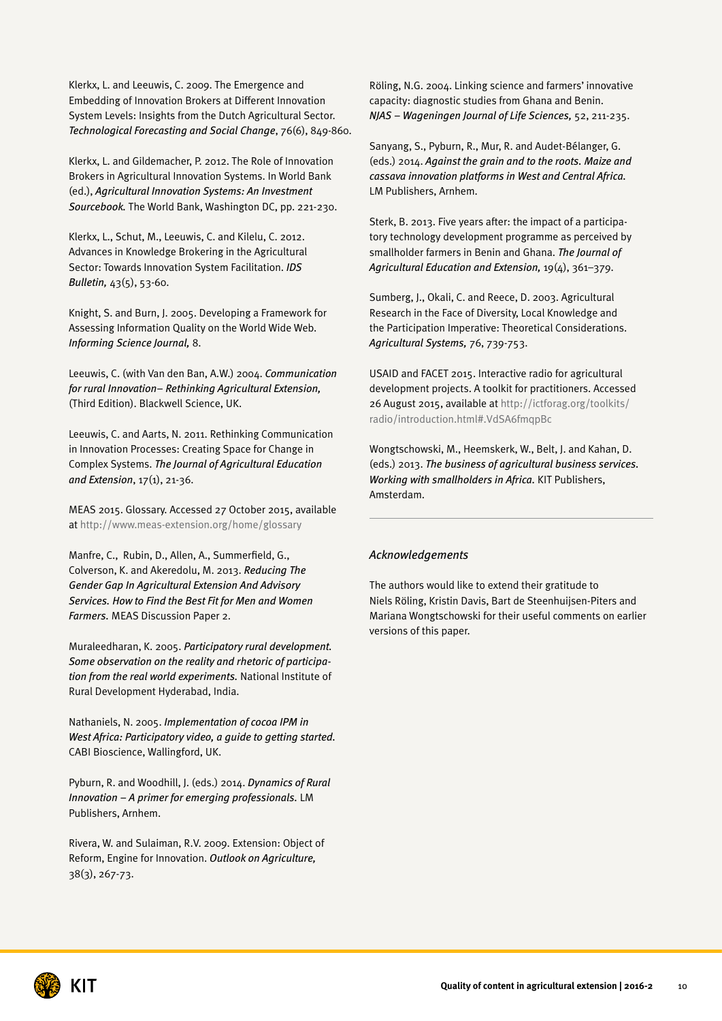Klerkx, L. and Leeuwis, C. 2009. The Emergence and Embedding of Innovation Brokers at Different Innovation System Levels: Insights from the Dutch Agricultural Sector. *Technological Forecasting and Social Change*, 76(6), 849-860.

Klerkx, L. and Gildemacher, P. 2012. The Role of Innovation Brokers in Agricultural Innovation Systems. In World Bank (ed.), *Agricultural Innovation Systems: An Investment Sourcebook.* The World Bank, Washington DC, pp. 221-230.

Klerkx, L., Schut, M., Leeuwis, C. and Kilelu, C. 2012. Advances in Knowledge Brokering in the Agricultural Sector: Towards Innovation System Facilitation. *IDS Bulletin,* 43(5), 53-60.

Knight, S. and Burn, J. 2005. Developing a Framework for Assessing Information Quality on the World Wide Web. *Informing Science Journal,* 8.

Leeuwis, C. (with Van den Ban, A.W.) 2004. *Communication for rural Innovation– Rethinking Agricultural Extension,* (Third Edition). Blackwell Science, UK.

Leeuwis, C. and Aarts, N. 2011. Rethinking Communication in Innovation Processes: Creating Space for Change in Complex Systems. *The Journal of Agricultural Education and Extension*, 17(1), 21-36.

MEAS 2015. Glossary. Accessed 27 October 2015, available at<http://www.meas-extension.org/home/glossary>

Manfre, C., Rubin, D., Allen, A., Summerfield, G., Colverson, K. and Akeredolu, M. 2013. *Reducing The Gender Gap In Agricultural Extension And Advisory Services. How to Find the Best Fit for Men and Women Farmers.* MEAS Discussion Paper 2.

Muraleedharan, K. 2005. *Participatory rural development. Some observation on the reality and rhetoric of participation from the real world experiments.* National Institute of Rural Development Hyderabad, India.

Nathaniels, N. 2005. *Implementation of cocoa IPM in West Africa: Participatory video, a guide to getting started.* CABI Bioscience, Wallingford, UK.

Pyburn, R. and Woodhill, J. (eds.) 2014. *Dynamics of Rural Innovation – A primer for emerging professionals.* LM Publishers, Arnhem.

Rivera, W. and Sulaiman, R.V. 2009. Extension: Object of Reform, Engine for Innovation. *Outlook on Agriculture,* 38(3), 267-73.

Röling, N.G. 2004. Linking science and farmers' innovative capacity: diagnostic studies from Ghana and Benin. *NJAS – Wageningen Journal of Life Sciences,* 52, 211-235.

Sanyang, S., Pyburn, R., Mur, R. and Audet-Bélanger, G. (eds.) 2014. *Against the grain and to the roots. Maize and cassava innovation platforms in West and Central Africa.* LM Publishers, Arnhem.

Sterk, B. 2013. Five years after: the impact of a participatory technology development programme as perceived by smallholder farmers in Benin and Ghana. *The Journal of Agricultural Education and Extension,* 19(4), 361–379.

Sumberg, J., Okali, C. and Reece, D. 2003. Agricultural Research in the Face of Diversity, Local Knowledge and the Participation Imperative: Theoretical Considerations. *Agricultural Systems,* 76, 739-753.

USAID and FACET 2015. Interactive radio for agricultural development projects. A toolkit for practitioners. Accessed 26 August 2015, available at [http://ictforag.org/toolkits/](http://ictforag.org/toolkits/radio/introduction.html#.VdSA6fmqpBc) [radio/introduction.html#.VdSA6fmqpBc](http://ictforag.org/toolkits/radio/introduction.html#.VdSA6fmqpBc)

Wongtschowski, M., Heemskerk, W., Belt, J. and Kahan, D. (eds.) 2013. *The business of agricultural business services. Working with smallholders in Africa.* KIT Publishers, Amsterdam.

#### *Acknowledgements*

The authors would like to extend their gratitude to Niels Röling, Kristin Davis, Bart de Steenhuijsen-Piters and Mariana Wongtschowski for their useful comments on earlier versions of this paper.

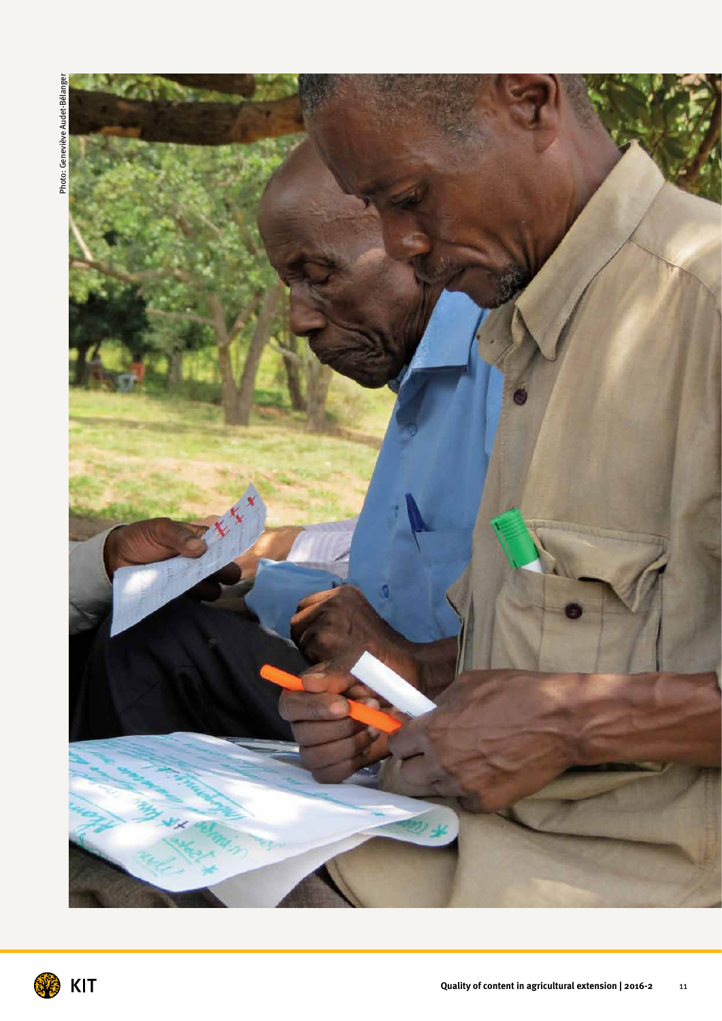